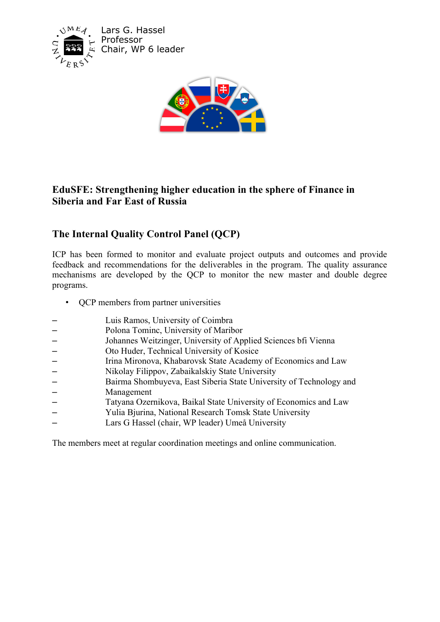

Lars G. Hassel Professor Chair, WP 6 leader



# **EduSFE: Strengthening higher education in the sphere of Finance in Siberia and Far East of Russia**

# **The Internal Quality Control Panel (QCP)**

ICP has been formed to monitor and evaluate project outputs and outcomes and provide feedback and recommendations for the deliverables in the program. The quality assurance mechanisms are developed by the QCP to monitor the new master and double degree programs.

- QCP members from partner universities
- Luis Ramos, University of Coimbra
- Polona Tominc, University of Maribor
- Johannes Weitzinger, University of Applied Sciences bfi Vienna
- Oto Huder, Technical University of Kosice
- Irina Mironova, Khabarovsk State Academy of Economics and Law
- Nikolay Filippov, Zabaikalskiy State University
- Bairma Shombuyeva, East Siberia State University of Technology and
- Management
- Tatyana Ozernikova, Baikal State University of Economics and Law
- Yulia Bjurina, National Research Tomsk State University
- Lars G Hassel (chair, WP leader) Umeå University

The members meet at regular coordination meetings and online communication.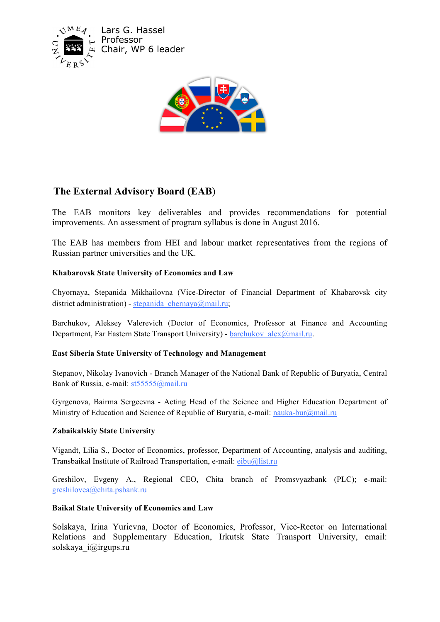

Lars G. Hassel Professor Chair, WP 6 leader



# **The External Advisory Board (EAB**)

The EAB monitors key deliverables and provides recommendations for potential improvements. An assessment of program syllabus is done in August 2016.

The EAB has members from HEI and labour market representatives from the regions of Russian partner universities and the UK.

## **Khabarovsk State University of Economics and Law**

Chyornaya, Stepanida Mikhailovna (Vice-Director of Financial Department of Khabarovsk city district administration) - stepanida chernaya@mail.ru;

Barchukov, Aleksey Valerevich (Doctor of Economics, Professor at Finance and Accounting Department, Far Eastern State Transport University) - barchukov alex@mail.ru.

#### **East Siberia State University of Technology and Management**

Stepanov, Nikolay Ivanovich - Branch Manager of the National Bank of Republic of Buryatia, Central Bank of Russia, e-mail: st55555@mail.ru

Gyrgenova, Bairma Sergeevna - Acting Head of the Science and Higher Education Department of Ministry of Education and Science of Republic of Buryatia, e-mail: nauka-bur@mail.ru

#### **Zabaikalskiy State University**

Vigandt, Lilia S., Doctor of Economics, professor, Department of Accounting, analysis and auditing, Transbaikal Institute of Railroad Transportation, e-mail: eibu@list.ru

Greshilov, Evgeny A., Regional CEO, Chita branch of Promsvyazbank (PLC); e-mail: greshilovea@chita.psbank.ru

#### **Baikal State University of Economics and Law**

Solskaya, Irina Yurievna, Doctor of Economics, Professor, Vice-Rector on International Relations and Supplementary Education, Irkutsk State Transport University, email: solskaya\_i@irgups.ru